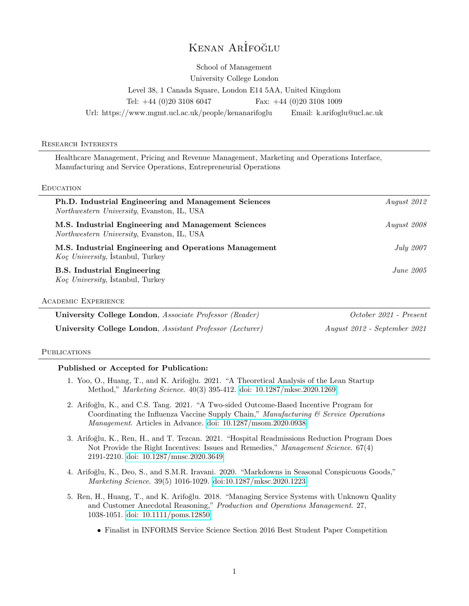# KENAN ARİFOĞLU

School of Management University College London Level 38, 1 Canada Square, London E14 5AA, United Kingdom Tel: +44 (0)20 3108 6047 Fax: +44 (0)20 3108 1009 Url: https://www.mgmt.ucl.ac.uk/people/kenanarifoglu Email: k.arifoglu@ucl.ac.uk

#### Research Interests

Healthcare Management, Pricing and Revenue Management, Marketing and Operations Interface, Manufacturing and Service Operations, Entrepreneurial Operations

#### **EDUCATION**

| Ph.D. Industrial Engineering and Management Sciences<br><i>Northwestern University</i> , Evanston, IL, USA | August 2012  |
|------------------------------------------------------------------------------------------------------------|--------------|
| M.S. Industrial Engineering and Management Sciences<br>Northwestern University, Evanston, IL, USA          | August 2008  |
| M.S. Industrial Engineering and Operations Management<br>Koç University, Istanbul, Turkey                  | July 2007    |
| <b>B.S.</b> Industrial Engineering<br>Koç University, İstanbul, Turkey                                     | $June\ 2005$ |
| <b>ACADEMIC EXPERIENCE</b>                                                                                 |              |

University College London, Associate Professor (Reader) 0ctober 2021 - Present University College London, Assistant Professor (Lecturer) August 2012 - September 2021

## **PUBLICATIONS**

## Published or Accepted for Publication:

- 1. Yoo, O., Huang, T., and K. Arifoğlu. 2021. "A Theoretical Analysis of the Lean Startup Method," Marketing Science. 40(3) 395-412. [doi: 10.1287/mksc.2020.1269](https://doi.org/10.1287/mksc.2020.1269)
- 2. Arifoğlu, K., and C.S. Tang. 2021. "A Two-sided Outcome-Based Incentive Program for Coordinating the Influenza Vaccine Supply Chain," Manufacturing  $\mathcal C$  Service Operations Management. Articles in Advance. [doi: 10.1287/msom.2020.0938](https://doi.org/10.1287/msom.2020.0938)
- 3. Arifoğlu, K., Ren, H., and T. Tezcan. 2021. "Hospital Readmissions Reduction Program Does Not Provide the Right Incentives: Issues and Remedies," Management Science. 67(4) 2191-2210. [doi: 10.1287/mnsc.2020.3649](https://pubsonline.informs.org/doi/abs/10.1287/mnsc.2020.3649)
- 4. Arifo˘glu, K., Deo, S., and S.M.R. Iravani. 2020. "Markdowns in Seasonal Conspicuous Goods," Marketing Science. 39(5) 1016-1029. [doi:10.1287/mksc.2020.1223](https://pubsonline.informs.org/doi/abs/10.1287/mksc.2020.1223)
- 5. Ren, H., Huang, T., and K. Arifoğlu. 2018. "Managing Service Systems with Unknown Quality and Customer Anecdotal Reasoning," Production and Operations Management. 27, 1038-1051. [doi: 10.1111/poms.12850](https://doi.org/10.1111/poms.12850)
	- Finalist in INFORMS Service Science Section 2016 Best Student Paper Competition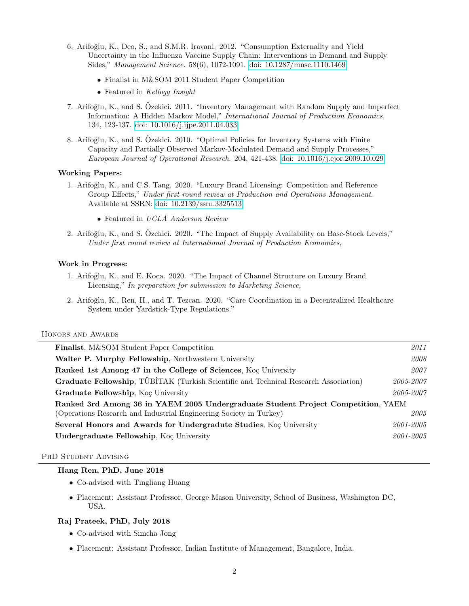- 6. Arifo˘glu, K., Deo, S., and S.M.R. Iravani. 2012. "Consumption Externality and Yield Uncertainty in the Influenza Vaccine Supply Chain: Interventions in Demand and Supply Sides," Management Science. 58(6), 1072-1091. [doi: 10.1287/mnsc.1110.1469](https://doi.org/10.1287/mnsc.1110.1469)
	- Finalist in M&SOM 2011 Student Paper Competition
	- Featured in Kellogg Insight
- 7. Arifoğlu, K., and S. Özekici. 2011. "Inventory Management with Random Supply and Imperfect Information: A Hidden Markov Model," International Journal of Production Economics. 134, 123-137. [doi: 10.1016/j.ijpe.2011.04.033](https://doi.org/10.1016/j.ijpe.2011.04.033)
- 8. Arifoğlu, K., and S. Özekici. 2010. "Optimal Policies for Inventory Systems with Finite Capacity and Partially Observed Markov-Modulated Demand and Supply Processes," European Journal of Operational Research. 204, 421-438. [doi: 10.1016/j.ejor.2009.10.029](https://doi.org/10.1016/j.ejor.2009.10.029)

## Working Papers:

- 1. Arifo˘glu, K., and C.S. Tang. 2020. "Luxury Brand Licensing: Competition and Reference Group Effects," Under first round review at Production and Operations Management. Available at SSRN: [doi: 10.2139/ssrn.3325513](https://dx.doi.org/10.2139/ssrn.3325513)
	- Featured in UCLA Anderson Review
- 2. Arifo˘glu, K., and S. Ozekici. 2020. "The Impact of Supply Availability on Base-Stock Levels," ¨ Under first round review at International Journal of Production Economics,

## Work in Progress:

- 1. Arifo˘glu, K., and E. Koca. 2020. "The Impact of Channel Structure on Luxury Brand Licensing," In preparation for submission to Marketing Science,
- 2. Arifoğlu, K., Ren, H., and T. Tezcan. 2020. "Care Coordination in a Decentralized Healthcare System under Yardstick-Type Regulations."

#### Honors and Awards

| <b>Finalist, M&amp;SOM Student Paper Competition</b>                                 | 2011      |  |
|--------------------------------------------------------------------------------------|-----------|--|
| Walter P. Murphy Fellowship, Northwestern University                                 | 2008      |  |
| Ranked 1st Among 47 in the College of Sciences, Kog University                       | 2007      |  |
| Graduate Fellowship, TÜBITAK (Turkish Scientific and Technical Research Association) | 2005-2007 |  |
| <b>Graduate Fellowship</b> , Koc University                                          | 2005-2007 |  |
| Ranked 3rd Among 36 in YAEM 2005 Undergraduate Student Project Competition, YAEM     |           |  |
| (Operations Research and Industrial Engineering Society in Turkey)                   | 2005      |  |
| Several Honors and Awards for Undergradute Studies, Kog University                   | 2001-2005 |  |
| <b>Undergraduate Fellowship, Koc University</b>                                      | 2001-2005 |  |

#### PHD STUDENT ADVISING

#### Hang Ren, PhD, June 2018

- Co-advised with Tingliang Huang
- Placement: Assistant Professor, George Mason University, School of Business, Washington DC, USA.

## Raj Prateek, PhD, July 2018

- Co-advised with Simcha Jong
- Placement: Assistant Professor, Indian Institute of Management, Bangalore, India.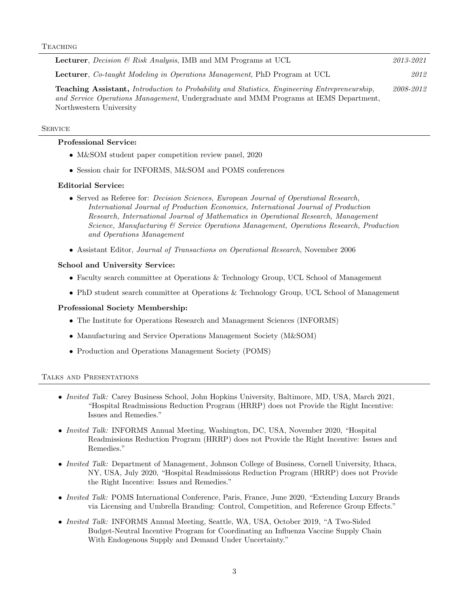| <b>Lecturer</b> , <i>Decision</i> & Risk Analysis, IMB and MM Programs at UCL                                                                                                                                            | 2013-2021 |
|--------------------------------------------------------------------------------------------------------------------------------------------------------------------------------------------------------------------------|-----------|
| <b>Lecturer</b> , <i>Co-taught Modeling in Operations Management</i> , PhD Program at UCL                                                                                                                                | 2012      |
| <b>Teaching Assistant,</b> Introduction to Probability and Statistics, Engineering Entrepreneurship,<br>and Service Operations Management, Undergraduate and MMM Programs at IEMS Department,<br>Northwestern University | 2008-2012 |

#### **SERVICE**

## Professional Service:

- M&SOM student paper competition review panel, 2020
- Session chair for INFORMS, M&SOM and POMS conferences

## Editorial Service:

- Served as Referee for: *Decision Sciences, European Journal of Operational Research*, International Journal of Production Economics, International Journal of Production Research, International Journal of Mathematics in Operational Research, Management Science, Manufacturing & Service Operations Management, Operations Research, Production and Operations Management
- Assistant Editor, Journal of Transactions on Operational Research, November 2006

## School and University Service:

- Faculty search committee at Operations & Technology Group, UCL School of Management
- PhD student search committee at Operations & Technology Group, UCL School of Management

## Professional Society Membership:

- The Institute for Operations Research and Management Sciences (INFORMS)
- Manufacturing and Service Operations Management Society (M&SOM)
- Production and Operations Management Society (POMS)

## Talks and Presentations

- Invited Talk: Carey Business School, John Hopkins University, Baltimore, MD, USA, March 2021, "Hospital Readmissions Reduction Program (HRRP) does not Provide the Right Incentive: Issues and Remedies."
- *Invited Talk:* INFORMS Annual Meeting, Washington, DC, USA, November 2020, "Hospital Readmissions Reduction Program (HRRP) does not Provide the Right Incentive: Issues and Remedies."
- *Invited Talk:* Department of Management, Johnson College of Business, Cornell University, Ithaca, NY, USA, July 2020, "Hospital Readmissions Reduction Program (HRRP) does not Provide the Right Incentive: Issues and Remedies."
- Invited Talk: POMS International Conference, Paris, France, June 2020, "Extending Luxury Brands via Licensing and Umbrella Branding: Control, Competition, and Reference Group Effects."
- Invited Talk: INFORMS Annual Meeting, Seattle, WA, USA, October 2019, "A Two-Sided Budget-Neutral Incentive Program for Coordinating an Influenza Vaccine Supply Chain With Endogenous Supply and Demand Under Uncertainty."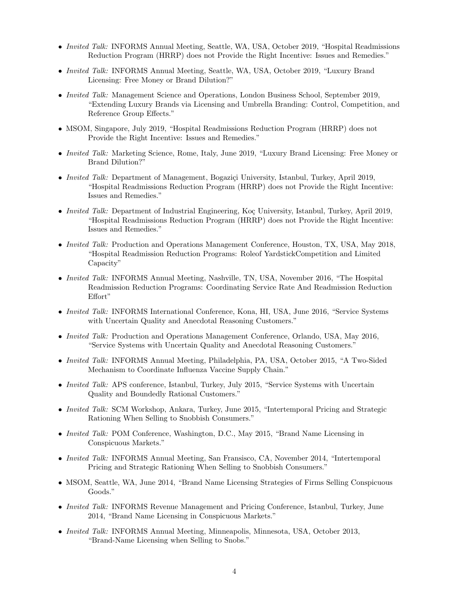- Invited Talk: INFORMS Annual Meeting, Seattle, WA, USA, October 2019, "Hospital Readmissions" Reduction Program (HRRP) does not Provide the Right Incentive: Issues and Remedies."
- Invited Talk: INFORMS Annual Meeting, Seattle, WA, USA, October 2019, "Luxury Brand Licensing: Free Money or Brand Dilution?"
- Invited Talk: Management Science and Operations, London Business School, September 2019, "Extending Luxury Brands via Licensing and Umbrella Branding: Control, Competition, and Reference Group Effects."
- MSOM, Singapore, July 2019, "Hospital Readmissions Reduction Program (HRRP) does not Provide the Right Incentive: Issues and Remedies."
- Invited Talk: Marketing Science, Rome, Italy, June 2019, "Luxury Brand Licensing: Free Money or Brand Dilution?"
- Invited Talk: Department of Management, Bogaziçi University, Istanbul, Turkey, April 2019, "Hospital Readmissions Reduction Program (HRRP) does not Provide the Right Incentive: Issues and Remedies."
- Invited Talk: Department of Industrial Engineering, Koç University, Istanbul, Turkey, April 2019, "Hospital Readmissions Reduction Program (HRRP) does not Provide the Right Incentive: Issues and Remedies."
- *Invited Talk:* Production and Operations Management Conference, Houston, TX, USA, May 2018, "Hospital Readmission Reduction Programs: Roleof YardstickCompetition and Limited Capacity"
- Invited Talk: INFORMS Annual Meeting, Nashville, TN, USA, November 2016, "The Hospital Readmission Reduction Programs: Coordinating Service Rate And Readmission Reduction Effort"
- Invited Talk: INFORMS International Conference, Kona, HI, USA, June 2016, "Service Systems with Uncertain Quality and Anecdotal Reasoning Customers."
- Invited Talk: Production and Operations Management Conference, Orlando, USA, May 2016, "Service Systems with Uncertain Quality and Anecdotal Reasoning Customers."
- Invited Talk: INFORMS Annual Meeting, Philadelphia, PA, USA, October 2015, "A Two-Sided Mechanism to Coordinate Influenza Vaccine Supply Chain."
- Invited Talk: APS conference, Istanbul, Turkey, July 2015, "Service Systems with Uncertain Quality and Boundedly Rational Customers."
- *Invited Talk:* SCM Workshop, Ankara, Turkey, June 2015, "Intertemporal Pricing and Strategic Rationing When Selling to Snobbish Consumers."
- Invited Talk: POM Conference, Washington, D.C., May 2015, "Brand Name Licensing in Conspicuous Markets."
- *Invited Talk:* INFORMS Annual Meeting, San Fransisco, CA, November 2014, "Intertemporal Pricing and Strategic Rationing When Selling to Snobbish Consumers."
- MSOM, Seattle, WA, June 2014, "Brand Name Licensing Strategies of Firms Selling Conspicuous Goods."
- *Invited Talk:* INFORMS Revenue Management and Pricing Conference, Istanbul, Turkey, June 2014, "Brand Name Licensing in Conspicuous Markets."
- *Invited Talk:* INFORMS Annual Meeting, Minneapolis, Minnesota, USA, October 2013, "Brand-Name Licensing when Selling to Snobs."